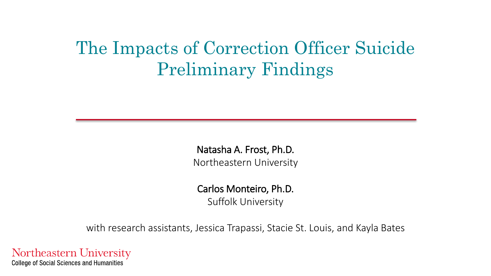#### The Impacts of Correction Officer Suicide Preliminary Findings

Natasha A. Frost, Ph.D. Northeastern University

Carlos Monteiro, Ph.D.

Suffolk University

with research assistants, Jessica Trapassi, Stacie St. Louis, and Kayla Bates

Northeastern University **College of Social Sciences and Humanities**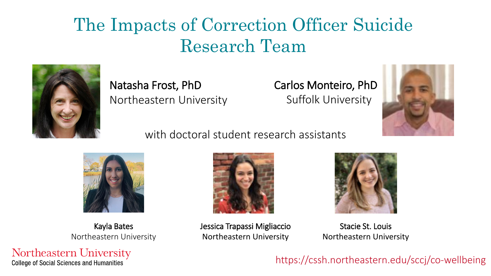#### The Impacts of Correction Officer Suicide Research Team



Natasha Frost, PhD Northeastern University Carlos Monteiro, PhD Suffolk University



with doctoral student research assistants



Kayla Bates Northeastern University

Northeastern University **College of Social Sciences and Humanities** 



Jessica Trapassi Migliaccio Northeastern University



Stacie St. Louis Northeastern University

https://cssh.northeastern.edu/sccj/co-wellbeing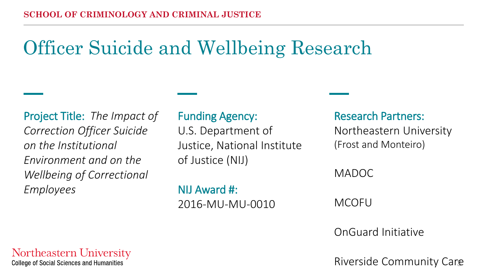# Officer Suicide and Wellbeing Research

Project Title: *The Impact of Correction Officer Suicide on the Institutional Environment and on the Wellbeing of Correctional Employees*

#### Funding Agency:

U.S. Department of Justice, National Institute of Justice (NIJ)

NIJ Award #: 2016-MU-MU-0010 Research Partners:

Northeastern University (Frost and Monteiro)

MADOC

MCOFU

OnGuard Initiative

Riverside Community Care

Northeastern University **College of Social Sciences and Humanities**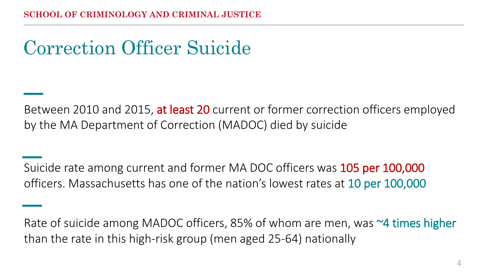# Correction Officer Suicide

Between 2010 and 2015, at least 20 current or former correction officers employed by the MA Department of Correction (MADOC) died by suicide

Suicide rate among current and former MA DOC officers was 105 per 100,000 officers. Massachusetts has one of the nation's lowest rates at 10 per 100,000

Rate of suicide among MADOC officers, 85% of whom are men, was ~4 times higher than the rate in this high-risk group (men aged 25-64) nationally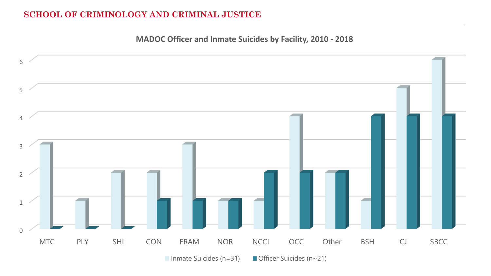#### **SCHOOL OF CRIMINOLOGY AND CRIMINAL JUSTICE**

**MADOC Officer and Inmate Suicides by Facility, 2010 - 2018**

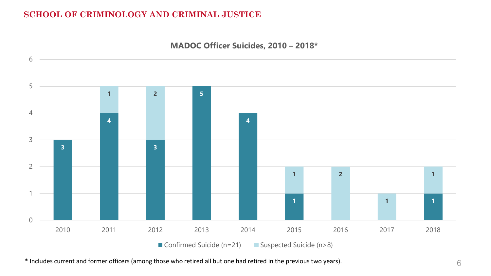#### **SCHOOL OF CRIMINOLOGY AND CRIMINAL JUSTICE**



\* Includes current and former officers (among those who retired all but one had retired in the previous two years).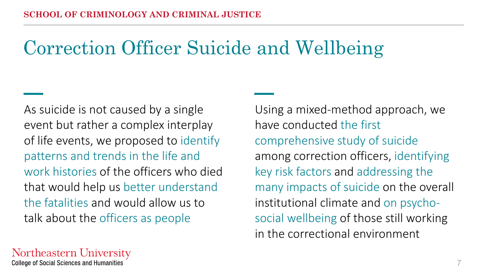# Correction Officer Suicide and Wellbeing

As suicide is not caused by a single event but rather a complex interplay of life events, we proposed to identify patterns and trends in the life and work histories of the officers who died that would help us better understand the fatalities and would allow us to talk about the officers as people

Using a mixed-method approach, we have conducted the first comprehensive study of suicide among correction officers, identifying key risk factors and addressing the many impacts of suicide on the overall institutional climate and on psychosocial wellbeing of those still working in the correctional environment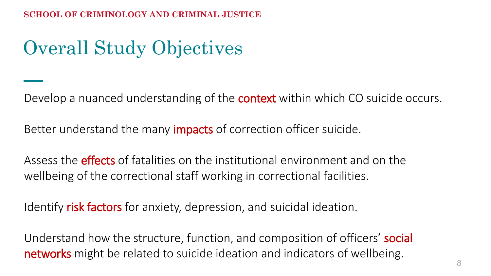# Overall Study Objectives

Develop a nuanced understanding of the **context** within which CO suicide occurs.

Better understand the many **impacts** of correction officer suicide.

Assess the **effects** of fatalities on the institutional environment and on the wellbeing of the correctional staff working in correctional facilities.

Identify risk factors for anxiety, depression, and suicidal ideation.

Understand how the structure, function, and composition of officers' social networks might be related to suicide ideation and indicators of wellbeing.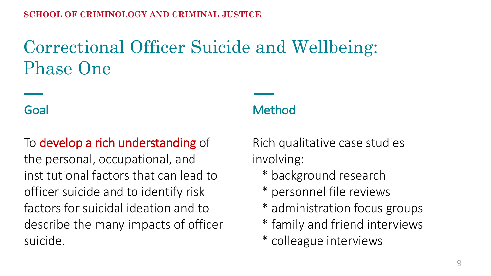# Correctional Officer Suicide and Wellbeing: Phase One

#### Goal

#### To develop a rich understanding of

the personal, occupational, and institutional factors that can lead to officer suicide and to identify risk factors for suicidal ideation and to describe the many impacts of officer suicide.

#### Method

Rich qualitative case studies involving:

- \* background research
- \* personnel file reviews
- \* administration focus groups
- \* family and friend interviews
- \* colleague interviews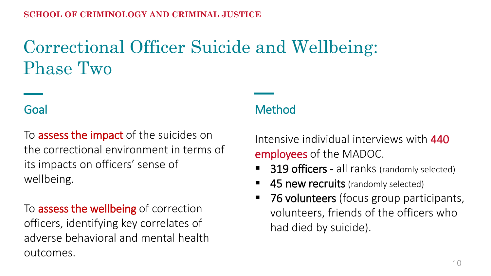## Correctional Officer Suicide and Wellbeing: Phase Two

To **assess the impact** of the suicides on the correctional environment in terms of its impacts on officers' sense of wellbeing.

To **assess the wellbeing** of correction officers, identifying key correlates of adverse behavioral and mental health outcomes.

#### Goal Method

Intensive individual interviews with 440 employees of the MADOC.

- 319 officers all ranks (randomly selected)
- 45 new recruits (randomly selected)
- 76 volunteers (focus group participants, volunteers, friends of the officers who had died by suicide).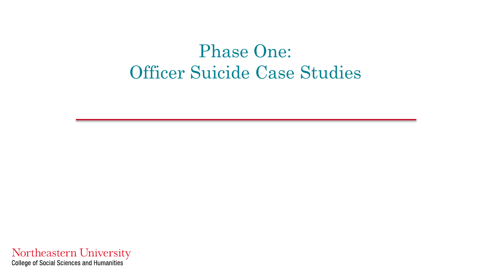#### Phase One: Officer Suicide Case Studies

Northeastern University<br>College of Social Sciences and Humanities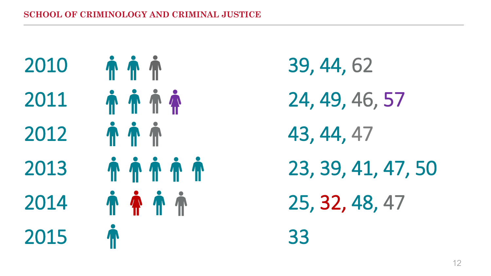

39, 44, 62 24, 49, 46, 57 43, 44, 47 23, 39, 41, 47, 50 25, 32, 48, 47 33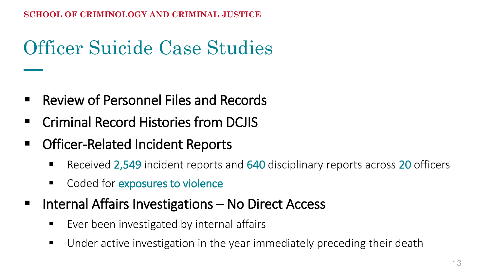# Officer Suicide Case Studies

- Review of Personnel Files and Records
- **EXECOLD FIGURE CRIMINAL Record Histories from DCJIS**
- Officer-Related Incident Reports
	- Received 2,549 incident reports and 640 disciplinary reports across 20 officers
	- Coded for exposures to violence
- Internal Affairs Investigations No Direct Access
	- Ever been investigated by internal affairs
	- **Under active investigation in the year immediately preceding their death**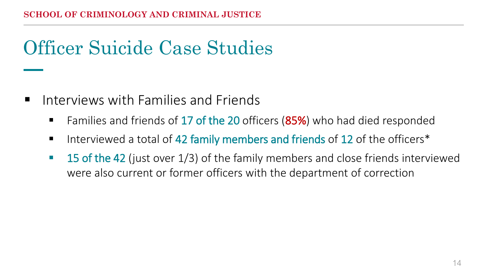# Officer Suicide Case Studies

- $\blacksquare$  Interviews with Families and Friends
	- Families and friends of 17 of the 20 officers (85%) who had died responded
	- Interviewed a total of 42 family members and friends of 12 of the officers\*
	- **15 of the 42** (just over 1/3) of the family members and close friends interviewed were also current or former officers with the department of correction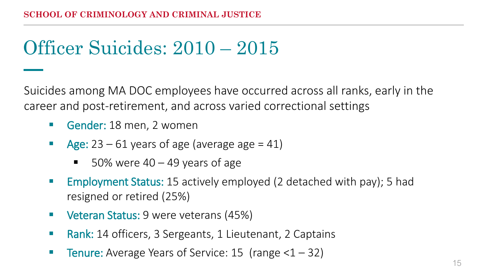#### Officer Suicides: 2010 – 2015

Suicides among MA DOC employees have occurred across all ranks, early in the career and post-retirement, and across varied correctional settings

- Gender: 18 men, 2 women
- Age:  $23 61$  years of age (average age = 41)
	- $\blacksquare$  50% were 40 49 years of age
- Employment Status: 15 actively employed (2 detached with pay); 5 had resigned or retired (25%)
- **Veteran Status: 9 were veterans (45%)**
- **Rank:** 14 officers, 3 Sergeants, 1 Lieutenant, 2 Captains
- **Tenure:** Average Years of Service: 15 (range  $<1-32$ )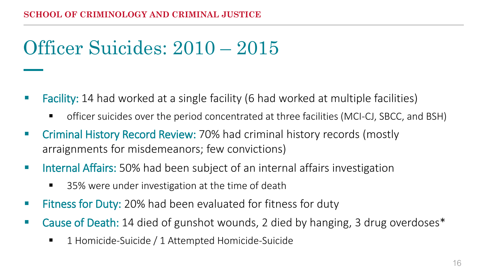# Officer Suicides: 2010 – 2015

- **Facility:** 14 had worked at a single facility (6 had worked at multiple facilities)
	- officer suicides over the period concentrated at three facilities (MCI-CJ, SBCC, and BSH)
- **E** Criminal History Record Review: 70% had criminal history records (mostly arraignments for misdemeanors; few convictions)
- **IF Internal Affairs:** 50% had been subject of an internal affairs investigation
	- 35% were under investigation at the time of death
- **Fitness for Duty:** 20% had been evaluated for fitness for duty
- Cause of Death: 14 died of gunshot wounds, 2 died by hanging, 3 drug overdoses<sup>\*</sup>
	- 1 Homicide-Suicide / 1 Attempted Homicide-Suicide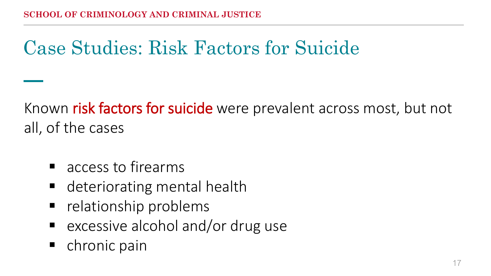# Case Studies: Risk Factors for Suicide

Known risk factors for suicide were prevalent across most, but not all, of the cases

- access to firearms
- deteriorating mental health
- **•** relationship problems
- **E** excessive alcohol and/or drug use
- chronic pain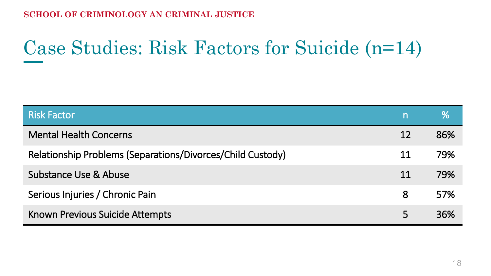# Case Studies: Risk Factors for Suicide (n=14)

| <b>Risk Factor</b>                                         | $\mathsf{n}$ | ℅   |
|------------------------------------------------------------|--------------|-----|
| <b>Mental Health Concerns</b>                              | 12           | 86% |
| Relationship Problems (Separations/Divorces/Child Custody) | 11           | 79% |
| Substance Use & Abuse                                      | 11           | 79% |
| Serious Injuries / Chronic Pain                            | 8            | 57% |
| Known Previous Suicide Attempts                            |              | 36% |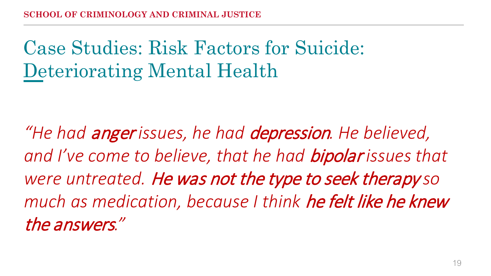*"He had* anger *issues, he had* depression*. He believed, and I've come to believe, that he had* bipolar *issues that were untreated.* He was not the type to seek therapy *so much as medication, because I think* he felt like he knew the answers*."*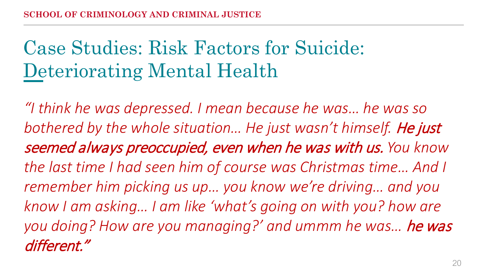*"I think he was depressed. I mean because he was… he was so*  bothered by the whole situation... He just wasn't himself. He just seemed always preoccupied, even when he was with us. *You know the last time I had seen him of course was Christmas time… And I remember him picking us up… you know we're driving… and you know I am asking… I am like 'what's going on with you? how are you doing? How are you managing?' and ummm he was…* he was different."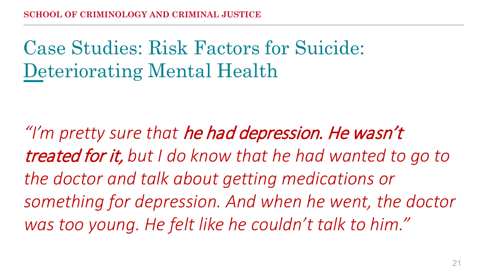*"I'm pretty sure that* he had depression. He wasn't treated for it, *but I do know that he had wanted to go to the doctor and talk about getting medications or something for depression. And when he went, the doctor was too young. He felt like he couldn't talk to him."*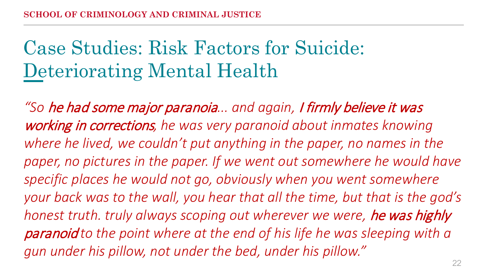*"So* he had some major paranoia*... and again,* I firmly believe it was working in corrections*, he was very paranoid about inmates knowing where he lived, we couldn't put anything in the paper, no names in the*  paper, no pictures in the paper. If we went out somewhere he would have *specific places he would not go, obviously when you went somewhere your back was to the wall, you hear that all the time, but that is the god's honest truth. truly always scoping out wherever we were,* he was highly paranoid *to the point where at the end of his life he was sleeping with a gun under his pillow, not under the bed, under his pillow."*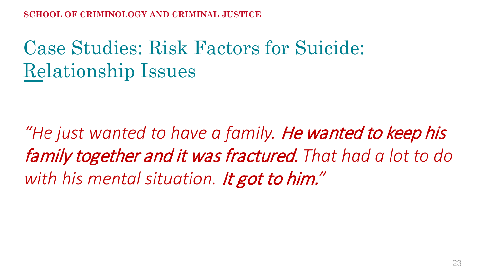# Case Studies: Risk Factors for Suicide: Relationship Issues

*"He just wanted to have a family.* He wanted to keep his family together and it was fractured. *That had a lot to do with his mental situation.* It got to him.*"*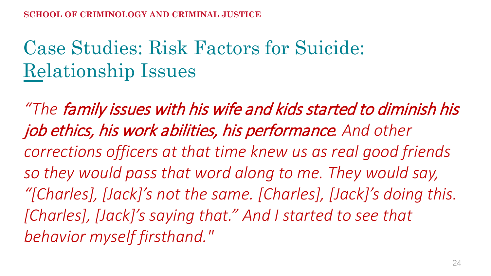# Case Studies: Risk Factors for Suicide: Relationship Issues

*"The* family issues with his wife and kids started to diminish his job ethics, his work abilities, his performance*. And other corrections officers at that time knew us as real good friends so they would pass that word along to me. They would say, "[Charles], [Jack]'s not the same. [Charles], [Jack]'s doing this. [Charles], [Jack]'s saying that." And I started to see that behavior myself firsthand."*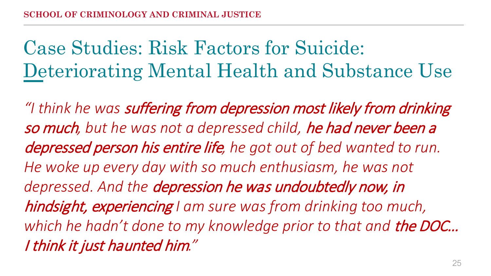Case Studies: Risk Factors for Suicide: Deteriorating Mental Health and Substance Use

*"I think he was* suffering from depression most likely from drinking so much*, but he was not a depressed child,* he had never been a depressed person his entire life*, he got out of bed wanted to run. He woke up every day with so much enthusiasm, he was not depressed. And the* depression he was undoubtedly now, in hindsight, experiencing *I am sure was from drinking too much,*  which he hadn't done to my knowledge prior to that and **the DOC...** I think it just haunted him*."*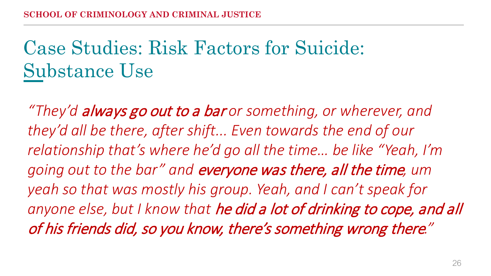# Case Studies: Risk Factors for Suicide: Substance Use

*"They'd* always go out to a bar *or something, or wherever, and they'd all be there, after shift... Even towards the end of our relationship that's where he'd go all the time… be like "Yeah, I'm going out to the bar" and* everyone was there, all the time*, um yeah so that was mostly his group. Yeah, and I can't speak for anyone else, but I know that* he did a lot of drinking to cope, and all of his friends did, so you know, there's something wrong there*."*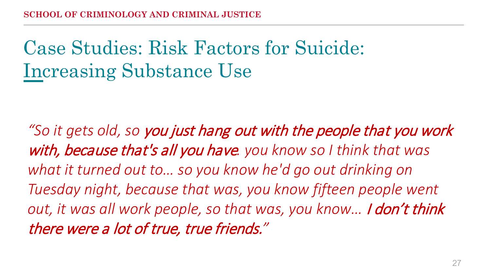# Case Studies: Risk Factors for Suicide: Increasing Substance Use

*"So it gets old, so* you just hang out with the people that you work with, because that's all you have*. you know so I think that was what it turned out to… so you know he'd go out drinking on Tuesday night, because that was, you know fifteen people went out, it was all work people, so that was, you know…* I don't think there were a lot of true, true friends.*"*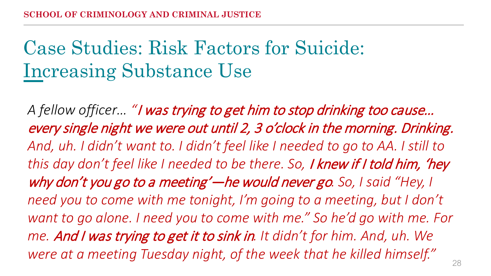# Case Studies: Risk Factors for Suicide: Increasing Substance Use

*A fellow officer… "*I was trying to get him to stop drinking too cause… every single night we were out until 2, 3 o'clock in the morning. Drinking. *And, uh. I didn't want to. I didn't feel like I needed to go to AA. I still to this day don't feel like I needed to be there. So,* I knew if I told him, 'hey why don't you go to a meeting'—he would never go*. So, I said "Hey, I need you to come with me tonight, I'm going to a meeting, but I don't want to go alone. I need you to come with me." So he'd go with me. For me.* And I was trying to get it to sink in*. It didn't for him. And, uh. We were at a meeting Tuesday night, of the week that he killed himself."*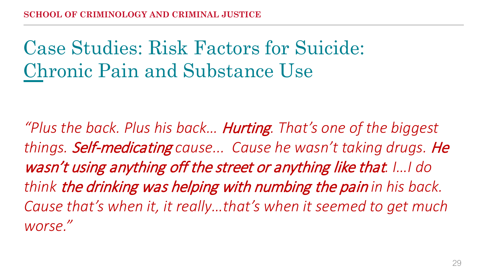# Case Studies: Risk Factors for Suicide: Chronic Pain and Substance Use

*"Plus the back. Plus his back…* Hurting*. That's one of the biggest things.* Self-medicating *cause... Cause he wasn't taking drugs.* He wasn't using anything off the street or anything like that*. I…I do think* the drinking was helping with numbing the pain *in his back. Cause that's when it, it really…that's when it seemed to get much worse."*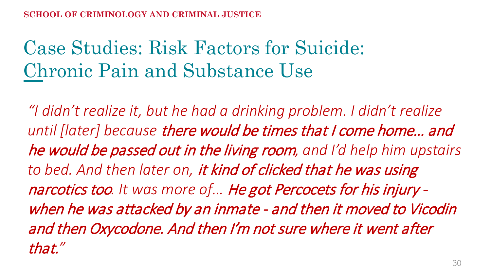# Case Studies: Risk Factors for Suicide: Chronic Pain and Substance Use

*"I didn't realize it, but he had a drinking problem. I didn't realize until [later] because* there would be times that I come home… and he would be passed out in the living room*, and I'd help him upstairs to bed. And then later on,* it kind of clicked that he was using narcotics too*. It was more of…* He got Percocets for his injury when he was attacked by an inmate - and then it moved to Vicodin and then Oxycodone. And then I'm not sure where it went after that.*"*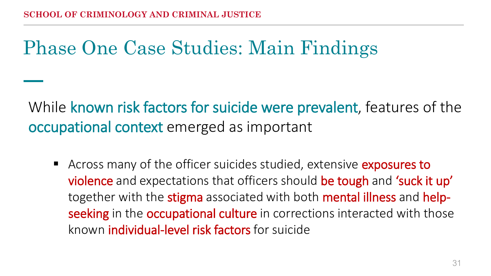# Phase One Case Studies: Main Findings

While known risk factors for suicide were prevalent, features of the occupational context emerged as important

Across many of the officer suicides studied, extensive exposures to violence and expectations that officers should be tough and 'suck it up' together with the stigma associated with both mental illness and helpseeking in the occupational culture in corrections interacted with those known individual-level risk factors for suicide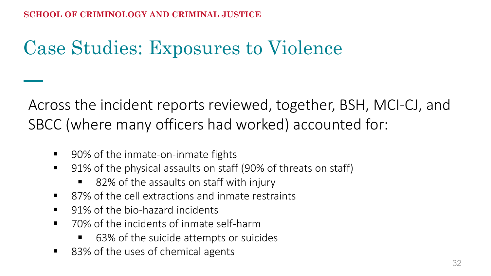# Case Studies: Exposures to Violence

Across the incident reports reviewed, together, BSH, MCI-CJ, and SBCC (where many officers had worked) accounted for:

- 90% of the inmate-on-inmate fights
- 91% of the physical assaults on staff (90% of threats on staff)
	- 82% of the assaults on staff with injury
- 87% of the cell extractions and inmate restraints
- 91% of the bio-hazard incidents
- 70% of the incidents of inmate self-harm
	- 63% of the suicide attempts or suicides
- 83% of the uses of chemical agents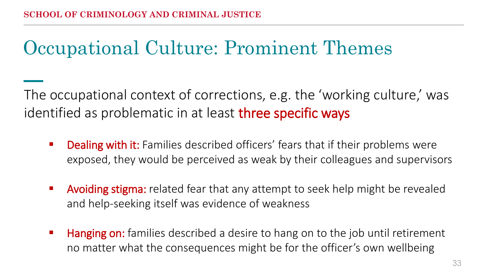# Occupational Culture: Prominent Themes

The occupational context of corrections, e.g. the 'working culture,' was identified as problematic in at least three specific ways

- **Dealing with it:** Families described officers' fears that if their problems were exposed, they would be perceived as weak by their colleagues and supervisors
- **Avoiding stigma:** related fear that any attempt to seek help might be revealed and help-seeking itself was evidence of weakness
- **Hanging on:** families described a desire to hang on to the job until retirement no matter what the consequences might be for the officer's own wellbeing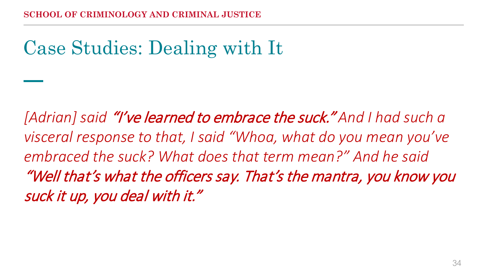# Case Studies: Dealing with It

*[Adrian] said* "I've learned to embrace the suck." *And I had such a visceral response to that, I said "Whoa, what do you mean you've embraced the suck? What does that term mean?" And he said*  "Well that's what the officers say. That's the mantra, you know you suck it up, you deal with it."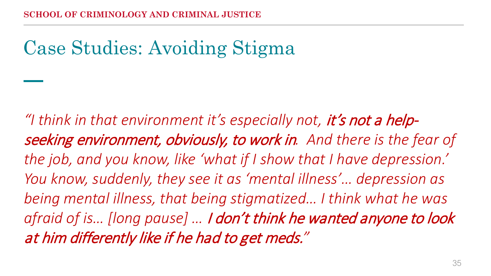# Case Studies: Avoiding Stigma

*"I think in that environment it's especially not,* it's not a helpseeking environment, obviously, to work in*. And there is the fear of the job, and you know, like 'what if I show that I have depression.' You know, suddenly, they see it as 'mental illness'… depression as being mental illness, that being stigmatized… I think what he was afraid of is… [long pause] …* I don't think he wanted anyone to look at him differently like if he had to get meds.*"*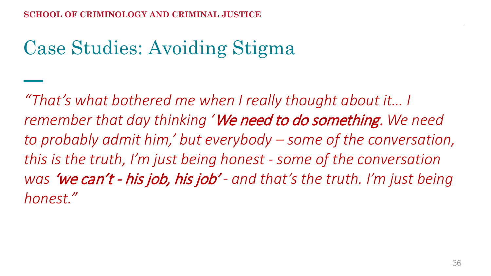# Case Studies: Avoiding Stigma

*"That's what bothered me when I really thought about it… I remember that day thinking '*We need to do something. *We need to probably admit him,' but everybody – some of the conversation, this is the truth, I'm just being honest - some of the conversation was* 'we can't - his job, his job' *- and that's the truth. I'm just being honest."*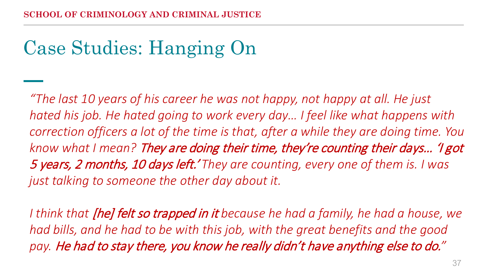# Case Studies: Hanging On

*"The last 10 years of his career he was not happy, not happy at all. He just hated his job. He hated going to work every day… I feel like what happens with correction officers a lot of the time is that, after a while they are doing time. You know what I mean?* They are doing their time, they're counting their days… 'I got 5 years, 2 months, 10 days left.' *They are counting, every one of them is. I was just talking to someone the other day about it.* 

*I think that* [he] felt so trapped in it *because he had a family, he had a house, we had bills, and he had to be with this job, with the great benefits and the good pay.* He had to stay there, you know he really didn't have anything else to do.*"*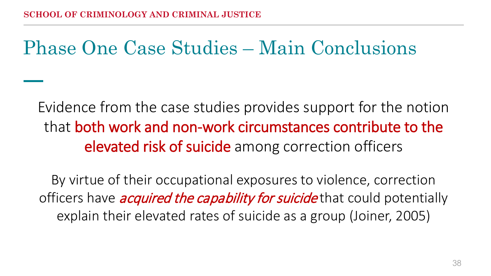# Phase One Case Studies – Main Conclusions

Evidence from the case studies provides support for the notion that both work and non-work circumstances contribute to the elevated risk of suicide among correction officers

By virtue of their occupational exposures to violence, correction officers have *acquired the capability for suicide* that could potentially explain their elevated rates of suicide as a group (Joiner, 2005)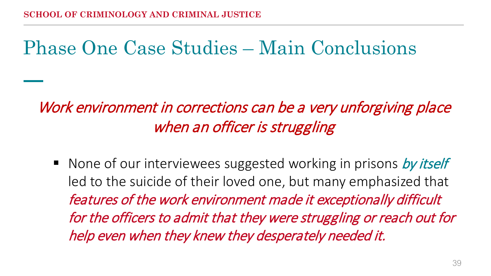# Phase One Case Studies – Main Conclusions

#### Work environment in corrections can be a very unforgiving place when an officer is struggling

None of our interviewees suggested working in prisons by itself led to the suicide of their loved one, but many emphasized that features of the work environment made it exceptionally difficult for the officers to admit that they were struggling or reach out for help even when they knew they desperately needed it.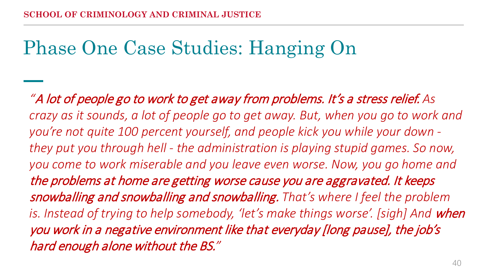# Phase One Case Studies: Hanging On

*"*A lot of people go to work to get away from problems. It's a stress relief. *As crazy as it sounds, a lot of people go to get away. But, when you go to work and you're not quite 100 percent yourself, and people kick you while your down they put you through hell - the administration is playing stupid games. So now, you come to work miserable and you leave even worse. Now, you go home and*  the problems at home are getting worse cause you are aggravated. It keeps snowballing and snowballing and snowballing. *That's where I feel the problem is. Instead of trying to help somebody, 'let's make things worse'. [sigh] And when* you work in a negative environment like that everyday [long pause], the job's hard enough alone without the BS.*"*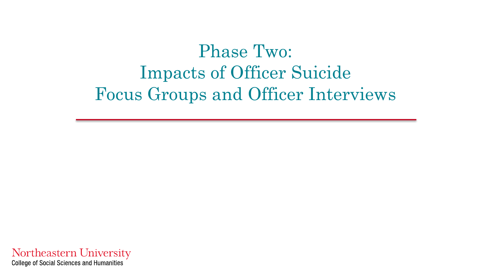Phase Two: Impacts of Officer Suicide Focus Groups and Officer Interviews

Northeastern University **College of Social Sciences and Humanities**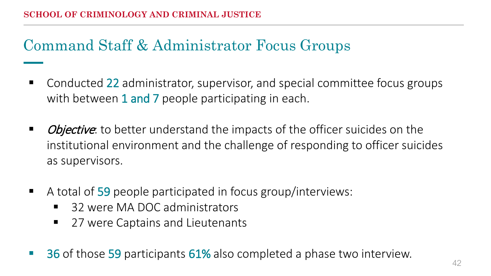#### Command Staff & Administrator Focus Groups

- Conducted 22 administrator, supervisor, and special committee focus groups with between 1 and 7 people participating in each.
- *Objective*: to better understand the impacts of the officer suicides on the institutional environment and the challenge of responding to officer suicides as supervisors.
- A total of 59 people participated in focus group/interviews:
	- 32 were MA DOC administrators
	- 27 were Captains and Lieutenants
- 36 of those 59 participants 61% also completed a phase two interview.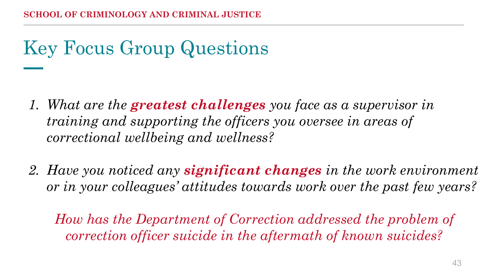# Key Focus Group Questions

- *1. What are the greatest challenges you face as a supervisor in training and supporting the officers you oversee in areas of correctional wellbeing and wellness?*
- *2. Have you noticed any significant changes in the work environment or in your colleagues' attitudes towards work over the past few years?*

*How has the Department of Correction addressed the problem of correction officer suicide in the aftermath of known suicides?*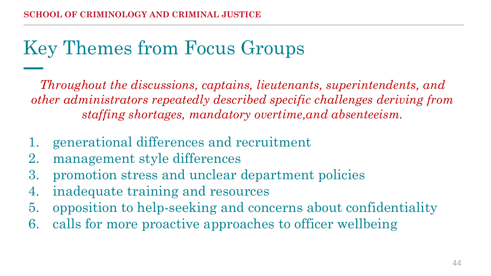#### Key Themes from Focus Groups

*Throughout the discussions, captains, lieutenants, superintendents, and other administrators repeatedly described specific challenges deriving from staffing shortages, mandatory overtime,and absenteeism.*

- 1. generational differences and recruitment
- 2. management style differences
- 3. promotion stress and unclear department policies
- 4. inadequate training and resources
- 5. opposition to help-seeking and concerns about confidentiality
- 6. calls for more proactive approaches to officer wellbeing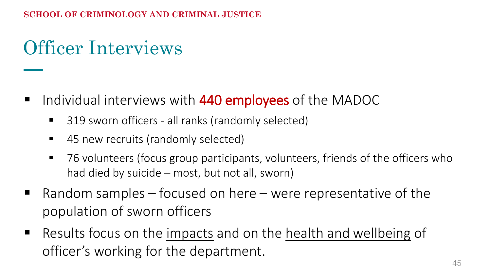# Officer Interviews

- Individual interviews with 440 employees of the MADOC
	- 319 sworn officers all ranks (randomly selected)
	- 45 new recruits (randomly selected)
	- 76 volunteers (focus group participants, volunteers, friends of the officers who had died by suicide – most, but not all, sworn)
- **P** Random samples focused on here were representative of the population of sworn officers
- Results focus on the impacts and on the health and wellbeing of officer's working for the department.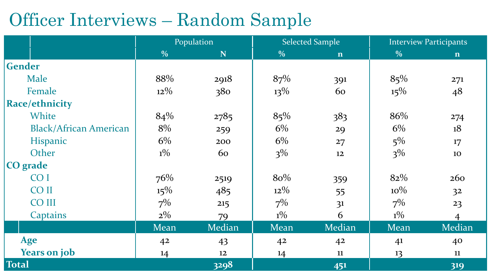#### Officer Interviews – Random Sample

|                               | Population    |             | <b>Selected Sample</b> |                | <b>Interview Participants</b> |                |
|-------------------------------|---------------|-------------|------------------------|----------------|-------------------------------|----------------|
|                               | $\frac{0}{0}$ | $\mathbf N$ | $\frac{0}{0}$          | $\mathbf n$    | $\frac{0}{0}$                 | $\mathbf n$    |
| <b>Gender</b>                 |               |             |                        |                |                               |                |
| Male                          | 88%           | 2918        | 87%                    | 391            | 85%                           | 271            |
| Female                        | $12\%$        | 380         | $13\%$                 | 60             | $15\%$                        | 48             |
| <b>Race/ethnicity</b>         |               |             |                        |                |                               |                |
| White                         | 84%           | 2785        | 85%                    | 383            | 86%                           | 274            |
| <b>Black/African American</b> | 8%            | 259         | 6%                     | 29             | $6\%$                         | 18             |
| <b>Hispanic</b>               | 6%            | 200         | 6%                     | 27             | $5\%$                         | 17             |
| Other                         | $1\%$         | 60          | $3\%$                  | 12             | $3\%$                         | 10             |
| CO grade                      |               |             |                        |                |                               |                |
| CO <sub>I</sub>               | 76%           | 2519        | 80%                    | 359            | 82%                           | 260            |
| <b>COII</b>                   | $15\%$        | 485         | $12\%$                 | 55             | $10\%$                        | 32             |
| <b>CO III</b>                 | $7\%$         | 215         | $7\%$                  | 3 <sup>1</sup> | $7\%$                         | 23             |
| Captains                      | $2\%$         | 79          | $1\%$                  | 6              | $1\%$                         | $\overline{4}$ |
|                               | Mean          | Median      | <b>Mean</b>            | <b>Median</b>  | <b>Mean</b>                   | Median         |
| Age                           | 42            | 43          | 42                     | 42             | 41                            | 40             |
| <b>Years on job</b>           | 14            | 12          | 14                     | 11             | 13                            | 11             |
| <b>Total</b>                  |               | 3298        |                        | 451            |                               | 319            |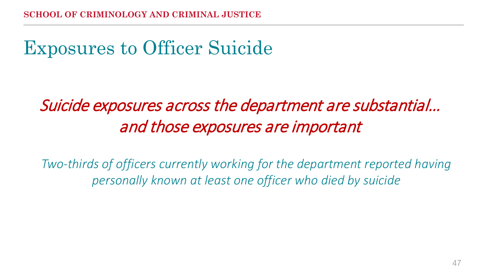# Exposures to Officer Suicide

#### Suicide exposures across the department are substantial… and those exposures are important

*Two-thirds of officers currently working for the department reported having personally known at least one officer who died by suicide*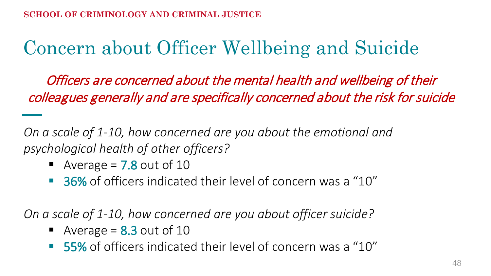# Concern about Officer Wellbeing and Suicide

Officers are concerned about the mental health and wellbeing of their colleagues generally and are specifically concerned about the risk for suicide

*On a scale of 1-10, how concerned are you about the emotional and psychological health of other officers?*

- Average =  $7.8$  out of 10
- 36% of officers indicated their level of concern was a "10"

*On a scale of 1-10, how concerned are you about officer suicide?*

- Average =  $8.3$  out of 10
- 55% of officers indicated their level of concern was a "10"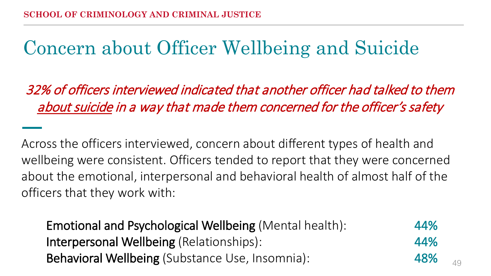# Concern about Officer Wellbeing and Suicide

32% of officers interviewed indicated that another officer had talked to them about suicide in a way that made them concerned for the officer's safety

Across the officers interviewed, concern about different types of health and wellbeing were consistent. Officers tended to report that they were concerned about the emotional, interpersonal and behavioral health of almost half of the officers that they work with:

Emotional and Psychological Wellbeing (Mental health): 44% Interpersonal Wellbeing (Relationships): 44% Behavioral Wellbeing (Substance Use, Insomnia): 48%

49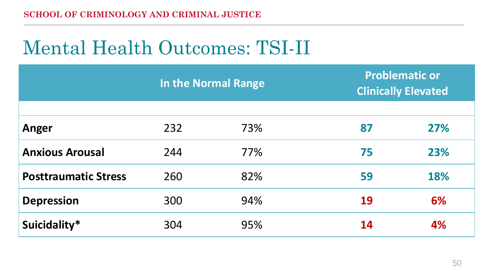# Mental Health Outcomes: TSI-II

|                             | In the Normal Range |     | <b>Problematic or</b><br><b>Clinically Elevated</b> |     |  |
|-----------------------------|---------------------|-----|-----------------------------------------------------|-----|--|
|                             |                     |     |                                                     |     |  |
| Anger                       | 232                 | 73% | 87                                                  | 27% |  |
| <b>Anxious Arousal</b>      | 244                 | 77% | 75                                                  | 23% |  |
| <b>Posttraumatic Stress</b> | 260                 | 82% | 59                                                  | 18% |  |
| <b>Depression</b>           | 300                 | 94% | 19                                                  | 6%  |  |
| Suicidality*                | 304                 | 95% | 14                                                  | 4%  |  |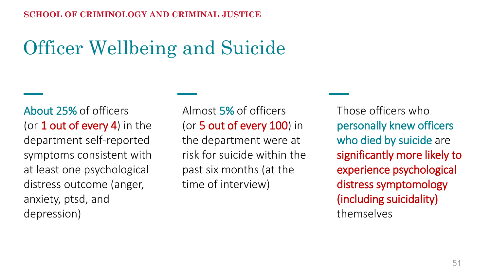# Officer Wellbeing and Suicide

About 25% of officers (or 1 out of every 4) in the department self-reported symptoms consistent with at least one psychological distress outcome (anger, anxiety, ptsd, and depression)

Almost 5% of officers (or 5 out of every 100) in the department were at risk for suicide within the past six months (at the time of interview)

Those officers who personally knew officers who died by suicide are significantly more likely to experience psychological distress symptomology (including suicidality) themselves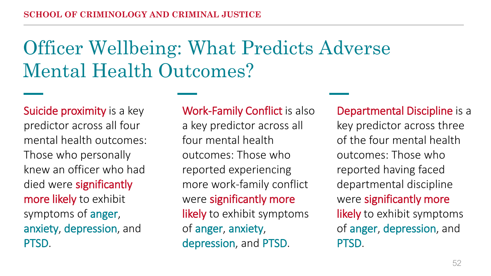# Officer Wellbeing: What Predicts Adverse Mental Health Outcomes?

Suicide proximity is a key predictor across all four mental health outcomes: Those who personally knew an officer who had died were significantly more likely to exhibit symptoms of anger, anxiety, depression, and PTSD.

#### Work-Family Conflict is also

a key predictor across all four mental health outcomes: Those who reported experiencing more work-family conflict were significantly more likely to exhibit symptoms of anger, anxiety, depression, and PTSD.

Departmental Discipline is a key predictor across three of the four mental health outcomes: Those who reported having faced departmental discipline were significantly more likely to exhibit symptoms of anger, depression, and PTSD.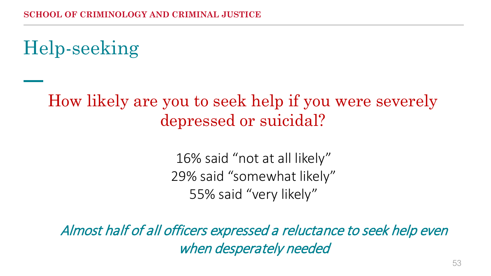Help-seeking

#### How likely are you to seek help if you were severely depressed or suicidal?

16% said "not at all likely" 29% said "somewhat likely" 55% said "very likely"

Almost half of all officers expressed a reluctance to seek help even when desperately needed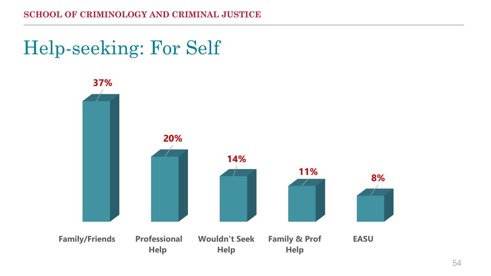#### Help-seeking: For Self

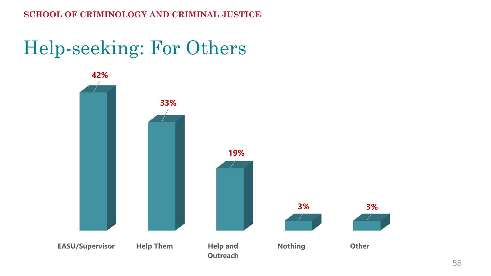# Help-seeking: For Others

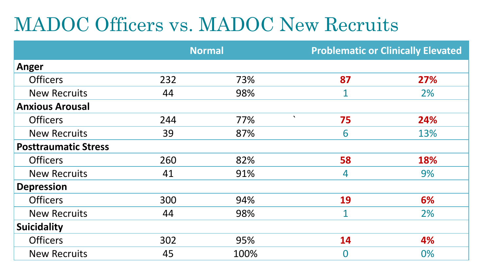# MADOC Officers vs. MADOC New Recruits

|                             | <b>Normal</b> |      | <b>Problematic or Clinically Elevated</b> |     |  |
|-----------------------------|---------------|------|-------------------------------------------|-----|--|
| Anger                       |               |      |                                           |     |  |
| <b>Officers</b>             | 232           | 73%  | 87                                        | 27% |  |
| <b>New Recruits</b>         | 44            | 98%  | $\mathbf{1}$                              | 2%  |  |
| <b>Anxious Arousal</b>      |               |      |                                           |     |  |
| <b>Officers</b>             | 244           | 77%  | $\mathbf{v}$<br>75                        | 24% |  |
| <b>New Recruits</b>         | 39            | 87%  | 6                                         | 13% |  |
| <b>Posttraumatic Stress</b> |               |      |                                           |     |  |
| <b>Officers</b>             | 260           | 82%  | 58                                        | 18% |  |
| <b>New Recruits</b>         | 41            | 91%  | 4                                         | 9%  |  |
| <b>Depression</b>           |               |      |                                           |     |  |
| <b>Officers</b>             | 300           | 94%  | 19                                        | 6%  |  |
| <b>New Recruits</b>         | 44            | 98%  | $\overline{1}$                            | 2%  |  |
| <b>Suicidality</b>          |               |      |                                           |     |  |
| <b>Officers</b>             | 302           | 95%  | 14                                        | 4%  |  |
| <b>New Recruits</b>         | 45            | 100% | $\overline{0}$                            | 0%  |  |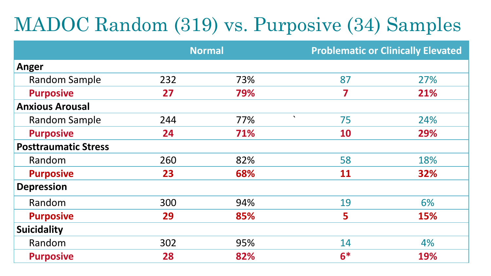# MADOC Random (319) vs. Purposive (34) Samples

|                             | <b>Normal</b> |     | <b>Problematic or Clinically Elevated</b> |            |  |
|-----------------------------|---------------|-----|-------------------------------------------|------------|--|
| Anger                       |               |     |                                           |            |  |
| <b>Random Sample</b>        | 232           | 73% | 87                                        | 27%        |  |
| <b>Purposive</b>            | 27            | 79% | 7                                         | 21%        |  |
| <b>Anxious Arousal</b>      |               |     |                                           |            |  |
| <b>Random Sample</b>        | 244           | 77% | $\mathbf{v}$<br>75                        | 24%        |  |
| <b>Purposive</b>            | 24            | 71% | 10                                        | 29%        |  |
| <b>Posttraumatic Stress</b> |               |     |                                           |            |  |
| Random                      | 260           | 82% | 58                                        | 18%        |  |
| <b>Purposive</b>            | 23            | 68% | 11                                        | 32%        |  |
| <b>Depression</b>           |               |     |                                           |            |  |
| Random                      | 300           | 94% | 19                                        | 6%         |  |
| <b>Purposive</b>            | 29            | 85% | 5                                         | 15%        |  |
| <b>Suicidality</b>          |               |     |                                           |            |  |
| Random                      | 302           | 95% | 14                                        | 4%         |  |
| <b>Purposive</b>            | 28            | 82% | $6*$                                      | <b>19%</b> |  |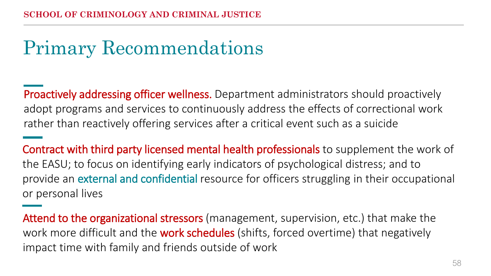# Primary Recommendations

Proactively addressing officer wellness. Department administrators should proactively adopt programs and services to continuously address the effects of correctional work rather than reactively offering services after a critical event such as a suicide

Contract with third party licensed mental health professionals to supplement the work of the EASU; to focus on identifying early indicators of psychological distress; and to provide an external and confidential resource for officers struggling in their occupational or personal lives

Attend to the organizational stressors (management, supervision, etc.) that make the work more difficult and the **work schedules** (shifts, forced overtime) that negatively impact time with family and friends outside of work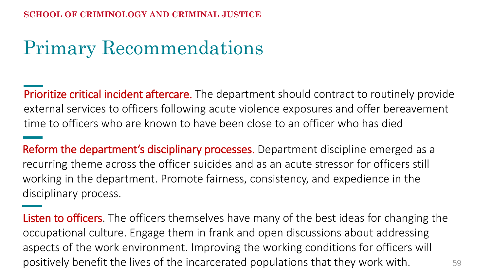# Primary Recommendations

**Prioritize critical incident aftercare.** The department should contract to routinely provide external services to officers following acute violence exposures and offer bereavement time to officers who are known to have been close to an officer who has died

Reform the department's disciplinary processes. Department discipline emerged as a recurring theme across the officer suicides and as an acute stressor for officers still working in the department. Promote fairness, consistency, and expedience in the disciplinary process.

59 Listen to officers. The officers themselves have many of the best ideas for changing the occupational culture. Engage them in frank and open discussions about addressing aspects of the work environment. Improving the working conditions for officers will positively benefit the lives of the incarcerated populations that they work with.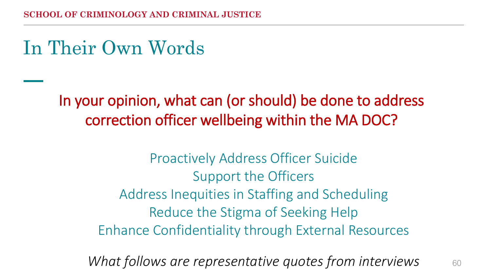In Their Own Words

In your opinion, what can (or should) be done to address correction officer wellbeing within the MA DOC?

> Proactively Address Officer Suicide Support the Officers Address Inequities in Staffing and Scheduling Reduce the Stigma of Seeking Help Enhance Confidentiality through External Resources

*What follows are representative quotes from interviews*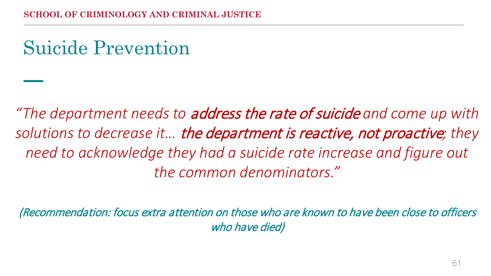# Suicide Prevention

*"The department needs to* address the rate of suicide *and come up with solutions to decrease it…* the department is reactive, not proactive*; they need to acknowledge they had a suicide rate increase and figure out the common denominators."*

(Recommendation: focus extra attention on those who are known to have been close to officers who have died)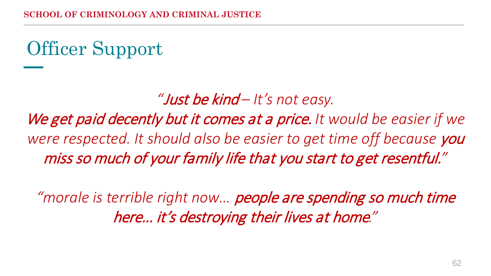# Officer Support

*"*Just be kind *– It's not easy.* 

We get paid decently but it comes at a price. *It would be easier if we*  were respected. It should also be easier to get time off because you miss so much of your family life that you start to get resentful.*"*

*"morale is terrible right now…* people are spending so much time here… it's destroying their lives at home*."*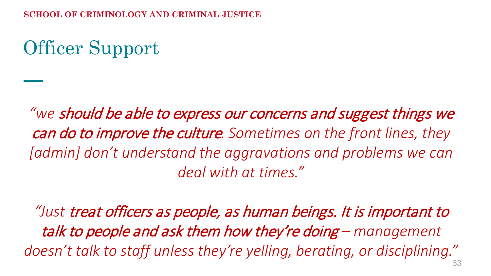Officer Support

*"we* should be able to express our concerns and suggest things we can do to improve the culture*. Sometimes on the front lines, they*  [admin] don't understand the aggravations and problems we can *deal with at times."*

*"Just* treat officers as people, as human beings. It is important to talk to people and ask them how they're doing *– management doesn't talk to staff unless they're yelling, berating, or disciplining."*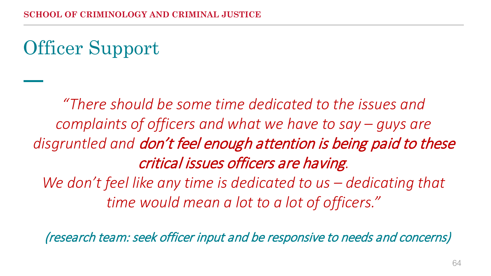Officer Support

*"There should be some time dedicated to the issues and complaints of officers and what we have to say – guys are disgruntled and* don't feel enough attention is being paid to these critical issues officers are having*. We don't feel like any time is dedicated to us – dedicating that time would mean a lot to a lot of officers."*

(research team: seek officer input and be responsive to needs and concerns)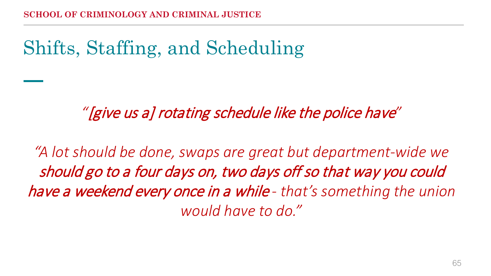# Shifts, Staffing, and Scheduling

*"*[give us a] rotating schedule like the police have*"*

*"A lot should be done, swaps are great but department-wide we*  should go to a four days on, two days off so that way you could have a weekend every once in a while *- that's something the union would have to do."*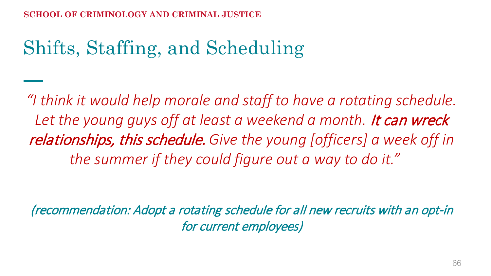# Shifts, Staffing, and Scheduling

*"I think it would help morale and staff to have a rotating schedule.*  Let the young guys off at least a weekend a month. It can wreck relationships, this schedule. *Give the young [officers] a week off in the summer if they could figure out a way to do it."*

(recommendation: Adopt a rotating schedule for all new recruits with an opt-in for current employees)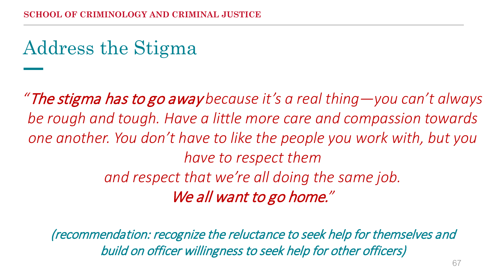# Address the Stigma

*"*The stigma has to go away *because it's a real thing—you can't always be rough and tough. Have a little more care and compassion towards one another. You don't have to like the people you work with, but you have to respect them and respect that we're all doing the same job.* We all want to go home.*"*

(recommendation: recognize the reluctance to seek help for themselves and build on officer willingness to seek help for other officers)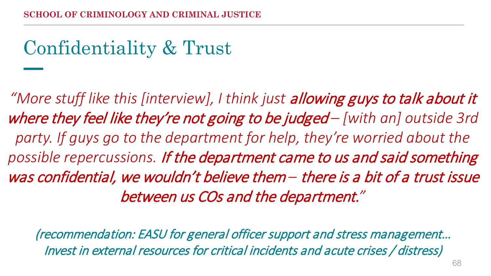# Confidentiality & Trust

*"More stuff like this [interview], I think just* allowing guys to talk about it where they feel like they're not going to be judged *– [with an] outside 3rd party. If guys go to the department for help, they're worried about the possible repercussions.* If the department came to us and said something was confidential, we wouldn't believe them *–* there is a bit of a trust issue between us COs and the department.*"*

(recommendation: EASU for general officer support and stress management… Invest in external resources for critical incidents and acute crises / distress)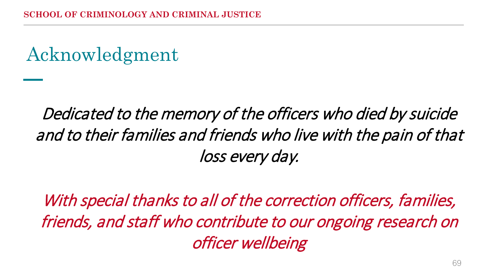# Acknowledgment

#### Dedicated to the memory of the officers who died by suicide and to their families and friends who live with the pain of that loss every day.

With special thanks to all of the correction officers, families, friends, and staff who contribute to our ongoing research on officer wellbeing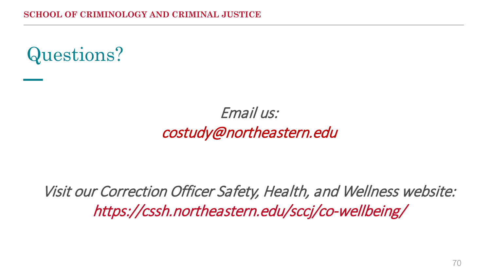

#### Email us: costudy@northeastern.edu

Visit our Correction Officer Safety, Health, and Wellness website: https://cssh.northeastern.edu/sccj/co-wellbeing/